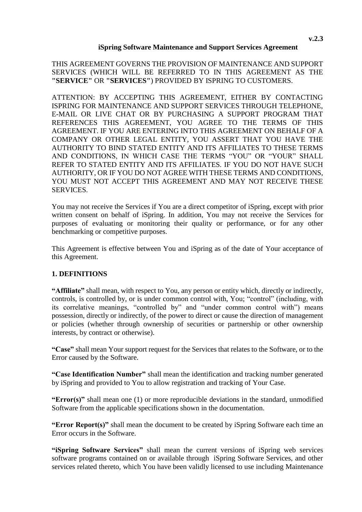#### **iSpring Software Maintenance and Support Services Agreement**

THIS AGREEMENT GOVERNS THE PROVISION OF MAINTENANCE AND SUPPORT SERVICES (WHICH WILL BE REFERRED TO IN THIS AGREEMENT AS THE **"SERVICE"** OR **"SERVICES"**) PROVIDED BY ISPRING TO CUSTOMERS.

ATTENTION: BY ACCEPTING THIS AGREEMENT, EITHER BY CONTACTING ISPRING FOR MAINTENANCE AND SUPPORT SERVICES THROUGH TELEPHONE, E-MAIL OR LIVE CHAT OR BY PURCHASING A SUPPORT PROGRAM THAT REFERENCES THIS AGREEMENT, YOU AGREE TO THE TERMS OF THIS AGREEMENT. IF YOU ARE ENTERING INTO THIS AGREEMENT ON BEHALF OF A COMPANY OR OTHER LEGAL ENTITY, YOU ASSERT THAT YOU HAVE THE AUTHORITY TO BIND STATED ENTITY AND ITS AFFILIATES TO THESE TERMS AND CONDITIONS, IN WHICH CASE THE TERMS "YOU" OR "YOUR" SHALL REFER TO STATED ENTITY AND ITS AFFILIATES. IF YOU DO NOT HAVE SUCH AUTHORITY, OR IF YOU DO NOT AGREE WITH THESE TERMS AND CONDITIONS, YOU MUST NOT ACCEPT THIS AGREEMENT AND MAY NOT RECEIVE THESE SERVICES.

You may not receive the Services if You are a direct competitor of iSpring, except with prior written consent on behalf of iSpring. In addition, You may not receive the Services for purposes of evaluating or monitoring their quality or performance, or for any other benchmarking or competitive purposes.

This Agreement is effective between You and iSpring as of the date of Your acceptance of this Agreement.

## **1. DEFINITIONS**

**"Affiliate"** shall mean, with respect to You, any person or entity which, directly or indirectly, controls, is controlled by, or is under common control with, You; "control" (including, with its correlative meanings, "controlled by" and "under common control with") means possession, directly or indirectly, of the power to direct or cause the direction of management or policies (whether through ownership of securities or partnership or other ownership interests, by contract or otherwise).

**"Case"** shall mean Your support request for the Services that relates to the Software, or to the Error caused by the Software.

**"Case Identification Number"** shall mean the identification and tracking number generated by iSpring and provided to You to allow registration and tracking of Your Case.

**"Error(s)"** shall mean one (1) or more reproducible deviations in the standard, unmodified Software from the applicable specifications shown in the documentation.

**"Error Report(s)"** shall mean the document to be created by iSpring Software each time an Error occurs in the Software.

**"iSpring Software Services"** shall mean the current versions of iSpring web services software programs contained on or available through iSpring Software Services, and other services related thereto, which You have been validly licensed to use including Maintenance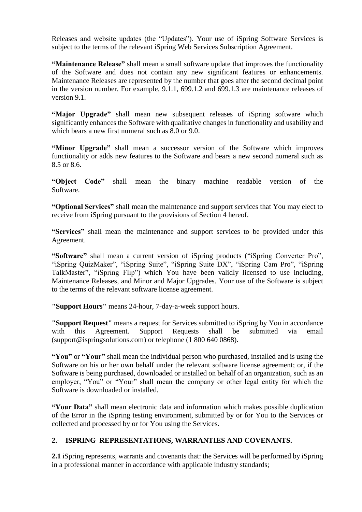Releases and website updates (the "Updates"). Your use of iSpring Software Services is subject to the terms of the relevant iSpring Web Services Subscription Agreement.

**"Maintenance Release"** shall mean a small software update that improves the functionality of the Software and does not contain any new significant features or enhancements. Maintenance Releases are represented by the number that goes after the second decimal point in the version number. For example, 9.1.1, 699.1.2 and 699.1.3 are maintenance releases of version 9.1.

**"Major Upgrade"** shall mean new subsequent releases of iSpring software which significantly enhances the Software with qualitative changes in functionality and usability and which bears a new first numeral such as 8.0 or 9.0.

**"Minor Upgrade"** shall mean a successor version of the Software which improves functionality or adds new features to the Software and bears a new second numeral such as 8.5 or 8.6.

**"Object Code"** shall mean the binary machine readable version of the Software.

**"Optional Services"** shall mean the maintenance and support services that You may elect to receive from iSpring pursuant to the provisions of Section 4 hereof.

**"Services"** shall mean the maintenance and support services to be provided under this Agreement.

**"Software"** shall mean a current version of iSpring products ("iSpring Converter Pro", "iSpring QuizMaker", "iSpring Suite", "iSpring Suite DX", "iSpring Cam Pro", "iSpring TalkMaster", "iSpring Flip") which You have been validly licensed to use including, Maintenance Releases, and Minor and Major Upgrades. Your use of the Software is subject to the terms of the relevant software license agreement.

**"Support Hours"** means 24-hour, 7-day-a-week support hours.

**"Support Request"** means a request for Services submitted to iSpring by You in accordance with this Agreement. Support Requests shall be submitted via email [\(support@ispringsolutions.com\)](mailto:support@ispringsolutions.com) or telephone (1 800 640 0868).

**"You"** or **"Your"** shall mean the individual person who purchased, installed and is using the Software on his or her own behalf under the relevant software license agreement; or, if the Software is being purchased, downloaded or installed on behalf of an organization, such as an employer, "You" or "Your" shall mean the company or other legal entity for which the Software is downloaded or installed.

**"Your Data"** shall mean electronic data and information which makes possible duplication of the Error in the iSpring testing environment, submitted by or for You to the Services or collected and processed by or for You using the Services.

# **2. ISPRING REPRESENTATIONS, WARRANTIES AND COVENANTS.**

**2.1** iSpring represents, warrants and covenants that: the Services will be performed by iSpring in a professional manner in accordance with applicable industry standards;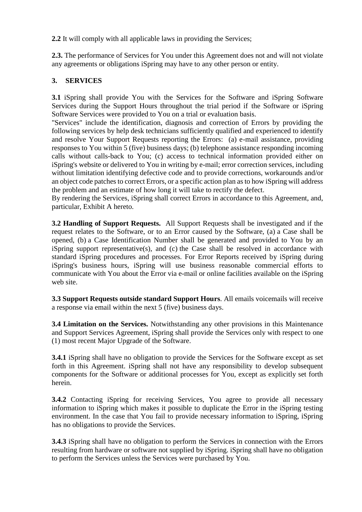**2.2** It will comply with all applicable laws in providing the Services;

**2.3.** The performance of Services for You under this Agreement does not and will not violate any agreements or obligations iSpring may have to any other person or entity.

## **3. SERVICES**

**3.1** iSpring shall provide You with the Services for the Software and iSpring Software Services during the Support Hours throughout the trial period if the Software or iSpring Software Services were provided to You on a trial or evaluation basis.

"Services" include the identification, diagnosis and correction of Errors by providing the following services by help desk technicians sufficiently qualified and experienced to identify and resolve Your Support Requests reporting the Errors: (a) e-mail assistance, providing responses to You within 5 (five) business days; (b) telephone assistance responding incoming calls without calls-back to You; (c) access to technical information provided either on iSpring's website or delivered to You in writing by e-mail; error correction services, including without limitation identifying defective code and to provide corrections, workarounds and/or an object code patches to correct Errors, or a specific action plan as to how iSpring will address the problem and an estimate of how long it will take to rectify the defect.

By rendering the Services, iSpring shall correct Errors in accordance to this Agreement, and, particular, Exhibit A hereto.

**3.2 Handling of Support Requests.** All Support Requests shall be investigated and if the request relates to the Software, or to an Error caused by the Software, (a) a Case shall be opened, (b) a Case Identification Number shall be generated and provided to You by an iSpring support representative(s), and (c) the Case shall be resolved in accordance with standard iSpring procedures and processes. For Error Reports received by iSpring during iSpring's business hours, iSpring will use business reasonable commercial efforts to communicate with You about the Error via e-mail or online facilities available on the iSpring web site.

**3.3 Support Requests outside standard Support Hours**. All emails voicemails will receive a response via email within the next 5 (five) business days.

**3.4 Limitation on the Services.** Notwithstanding any other provisions in this Maintenance and Support Services Agreement, iSpring shall provide the Services only with respect to one (1) most recent Major Upgrade of the Software.

**3.4.1** iSpring shall have no obligation to provide the Services for the Software except as set forth in this Agreement. iSpring shall not have any responsibility to develop subsequent components for the Software or additional processes for You, except as explicitly set forth herein.

**3.4.2** Contacting iSpring for receiving Services, You agree to provide all necessary information to iSpring which makes it possible to duplicate the Error in the iSpring testing environment. In the case that You fail to provide necessary information to iSpring, iSpring has no obligations to provide the Services.

**3.4.3** iSpring shall have no obligation to perform the Services in connection with the Errors resulting from hardware or software not supplied by iSpring. iSpring shall have no obligation to perform the Services unless the Services were purchased by You.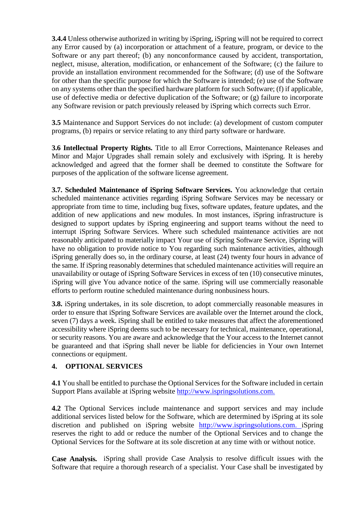**3.4.4** Unless otherwise authorized in writing by iSpring, iSpring will not be required to correct any Error caused by (a) incorporation or attachment of a feature, program, or device to the Software or any part thereof; (b) any nonconformance caused by accident, transportation, neglect, misuse, alteration, modification, or enhancement of the Software; (c) the failure to provide an installation environment recommended for the Software; (d) use of the Software for other than the specific purpose for which the Software is intended; (e) use of the Software on any systems other than the specified hardware platform for such Software; (f) if applicable, use of defective media or defective duplication of the Software; or (g) failure to incorporate any Software revision or patch previously released by iSpring which corrects such Error.

**3.5** Maintenance and Support Services do not include: (a) development of custom computer programs, (b) repairs or service relating to any third party software or hardware.

**3.6 Intellectual Property Rights.** Title to all Error Corrections, Maintenance Releases and Minor and Major Upgrades shall remain solely and exclusively with iSpring. It is hereby acknowledged and agreed that the former shall be deemed to constitute the Software for purposes of the application of the software license agreement.

**3.7. Scheduled Maintenance of iSpring Software Services.** You acknowledge that certain scheduled maintenance activities regarding iSpring Software Services may be necessary or appropriate from time to time, including bug fixes, software updates, feature updates, and the addition of new applications and new modules. In most instances, iSpring infrastructure is designed to support updates by iSpring engineering and support teams without the need to interrupt iSpring Software Services. Where such scheduled maintenance activities are not reasonably anticipated to materially impact Your use of iSpring Software Service, iSpring will have no obligation to provide notice to You regarding such maintenance activities, although iSpring generally does so, in the ordinary course, at least (24) twenty four hours in advance of the same. If iSpring reasonably determines that scheduled maintenance activities will require an unavailability or outage of iSpring Software Services in excess of ten (10) consecutive minutes, iSpring will give You advance notice of the same. iSpring will use commercially reasonable efforts to perform routine scheduled maintenance during nonbusiness hours.

**3.8.** iSpring undertakes, in its sole discretion, to adopt commercially reasonable measures in order to ensure that iSpring Software Services are available over the Internet around the clock, seven (7) days a week. iSpring shall be entitled to take measures that affect the aforementioned accessibility where iSpring deems such to be necessary for technical, maintenance, operational, or security reasons. You are aware and acknowledge that the Your access to the Internet cannot be guaranteed and that iSpring shall never be liable for deficiencies in Your own Internet connections or equipment.

## **4. OPTIONAL SERVICES**

**4.1** You shall be entitled to purchase the Optional Services for the Software included in certain Support Plans available at iSpring website [http://www.ispringsolutions.com.](http://www.ispringsolutions.com/)

**4.2** The Optional Services include maintenance and support services and may include additional services listed below for the Software, which are determined by iSpring at its sole discretion and published on iSpring website [http://www.ispringsolutions.com.](http://www.ispringsolutions.com/) iSpring reserves the right to add or reduce the number of the Optional Services and to change the Optional Services for the Software at its sole discretion at any time with or without notice.

**Case Analysis.** iSpring shall provide Case Analysis to resolve difficult issues with the Software that require a thorough research of a specialist. Your Case shall be investigated by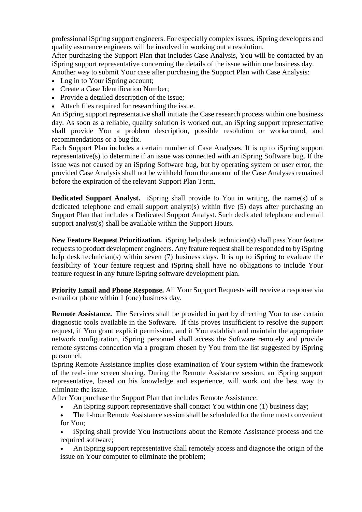professional iSpring support engineers. For especially complex issues, iSpring developers and quality assurance engineers will be involved in working out a resolution.

After purchasing the Support Plan that includes Case Analysis, You will be contacted by an iSpring support representative concerning the details of the issue within one business day. Another way to submit Your case after purchasing the Support Plan with Case Analysis:

- 
- Log in to Your iSpring account;
- Create a Case Identification Number;
- Provide a detailed description of the issue:
- Attach files required for researching the issue.

An iSpring support representative shall initiate the Case research process within one business day. As soon as a reliable, quality solution is worked out, an iSpring support representative shall provide You a problem description, possible resolution or workaround, and recommendations or a bug fix.

Each Support Plan includes a certain number of Case Analyses. It is up to iSpring support representative(s) to determine if an issue was connected with an iSpring Software bug. If the issue was not caused by an iSpring Software bug, but by operating system or user error, the provided Case Analysis shall not be withheld from the amount of the Case Analyses remained before the expiration of the relevant Support Plan Term.

**Dedicated Support Analyst.** iSpring shall provide to You in writing, the name(s) of a dedicated telephone and email support analyst(s) within five (5) days after purchasing an Support Plan that includes a Dedicated Support Analyst. Such dedicated telephone and email support analyst(s) shall be available within the Support Hours.

**New Feature Request Prioritization.** iSpring help desk technician(s) shall pass Your feature requests to product development engineers. Any feature request shall be responded to by iSpring help desk technician(s) within seven (7) business days. It is up to iSpring to evaluate the feasibility of Your feature request and iSpring shall have no obligations to include Your feature request in any future iSpring software development plan.

**Priority Email and Phone Response.** All Your Support Requests will receive a response via e-mail or phone within 1 (one) business day.

**Remote Assistance.** The Services shall be provided in part by directing You to use certain diagnostic tools available in the Software. If this proves insufficient to resolve the support request, if You grant explicit permission, and if You establish and maintain the appropriate network configuration, iSpring personnel shall access the Software remotely and provide remote systems connection via a program chosen by You from the list suggested by iSpring personnel.

iSpring Remote Assistance implies close examination of Your system within the framework of the real-time screen sharing. During the Remote Assistance session, an iSpring support representative, based on his knowledge and experience, will work out the best way to eliminate the issue.

After You purchase the Support Plan that includes Remote Assistance:

- An iSpring support representative shall contact You within one (1) business day;
- The 1-hour Remote Assistance session shall be scheduled for the time most convenient for You;
- iSpring shall provide You instructions about the Remote Assistance process and the required software;
- An iSpring support representative shall remotely access and diagnose the origin of the issue on Your computer to eliminate the problem;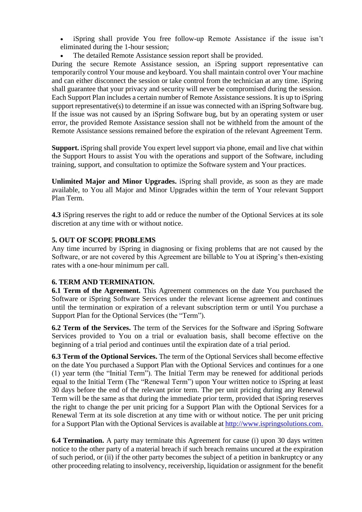iSpring shall provide You free follow-up Remote Assistance if the issue isn't eliminated during the 1-hour session;

The detailed Remote Assistance session report shall be provided.

During the secure Remote Assistance session, an iSpring support representative can temporarily control Your mouse and keyboard. You shall maintain control over Your machine and can either disconnect the session or take control from the technician at any time. iSpring shall guarantee that your privacy and security will never be compromised during the session. Each Support Plan includes a certain number of Remote Assistance sessions. It is up to iSpring support representative(s) to determine if an issue was connected with an iSpring Software bug. If the issue was not caused by an iSpring Software bug, but by an operating system or user error, the provided Remote Assistance session shall not be withheld from the amount of the Remote Assistance sessions remained before the expiration of the relevant Agreement Term.

**Support.** iSpring shall provide You expert level support via phone, email and live chat within the Support Hours to assist You with the operations and support of the Software, including training, support, and consultation to optimize the Software system and Your practices.

**Unlimited Major and Minor Upgrades.** iSpring shall provide, as soon as they are made available, to You all Major and Minor Upgrades within the term of Your relevant Support Plan Term.

**4.3** iSpring reserves the right to add or reduce the number of the Optional Services at its sole discretion at any time with or without notice.

#### **5. OUT OF SCOPE PROBLEMS**

Any time incurred by iSpring in diagnosing or fixing problems that are not caused by the Software, or are not covered by this Agreement are billable to You at iSpring's then-existing rates with a one-hour minimum per call.

## **6. TERM AND TERMINATION.**

**6.1 Term of the Agreement.** This Agreement commences on the date You purchased the Software or iSpring Software Services under the relevant license agreement and continues until the termination or expiration of a relevant subscription term or until You purchase a Support Plan for the Optional Services (the "Term").

**6.2 Term of the Services.** The term of the Services for the Software and iSpring Software Services provided to You on a trial or evaluation basis, shall become effective on the beginning of a trial period and continues until the expiration date of a trial period.

**6.3 Term of the Optional Services.** The term of the Optional Services shall become effective on the date You purchased a Support Plan with the Optional Services and continues for a one (1) year term (the "Initial Term"). The Initial Term may be renewed for additional periods equal to the Initial Term (The "Renewal Term") upon Your written notice to iSpring at least 30 days before the end of the relevant prior term. The per unit pricing during any Renewal Term will be the same as that during the immediate prior term, provided that iSpring reserves the right to change the per unit pricing for a Support Plan with the Optional Services for a Renewal Term at its sole discretion at any time with or without notice. The per unit pricing for a Support Plan with the Optional Services is available at [http://www.ispringsolutions.com.](http://www.ispringsolutions.com/)

**6.4 Termination.** A party may terminate this Agreement for cause (i) upon 30 days written notice to the other party of a material breach if such breach remains uncured at the expiration of such period, or (ii) if the other party becomes the subject of a petition in bankruptcy or any other proceeding relating to insolvency, receivership, liquidation or assignment for the benefit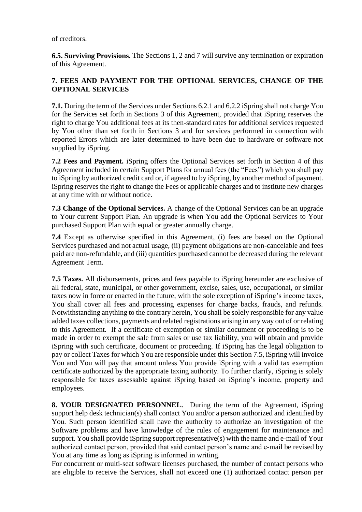of creditors.

**6.5. Surviving Provisions.** The Sections 1, 2 and 7 will survive any termination or expiration of this Agreement.

## **7. FEES AND PAYMENT FOR THE OPTIONAL SERVICES, CHANGE OF THE OPTIONAL SERVICES**

**7.1.** During the term of the Services under Sections 6.2.1 and 6.2.2 iSpring shall not charge You for the Services set forth in Sections 3 of this Agreement, provided that iSpring reserves the right to charge You additional fees at its then-standard rates for additional services requested by You other than set forth in Sections 3 and for services performed in connection with reported Errors which are later determined to have been due to hardware or software not supplied by iSpring.

**7.2 Fees and Payment.** iSpring offers the Optional Services set forth in Section 4 of this Agreement included in certain Support Plans for annual fees (the "Fees") which you shall pay to iSpring by authorized credit card or, if agreed to by iSpring, by another method of payment. iSpring reserves the right to change the Fees or applicable charges and to institute new charges at any time with or without notice.

**7.3 Change of the Optional Services.** A change of the Optional Services can be an upgrade to Your current Support Plan. An upgrade is when You add the Optional Services to Your purchased Support Plan with equal or greater annually charge.

**7.4** Except as otherwise specified in this Agreement, (i) fees are based on the Optional Services purchased and not actual usage, (ii) payment obligations are non-cancelable and fees paid are non-refundable, and (iii) quantities purchased cannot be decreased during the relevant Agreement Term.

**7.5 Taxes.** All disbursements, prices and fees payable to iSpring hereunder are exclusive of all federal, state, municipal, or other government, excise, sales, use, occupational, or similar taxes now in force or enacted in the future, with the sole exception of iSpring's income taxes, You shall cover all fees and processing expenses for charge backs, frauds, and refunds. Notwithstanding anything to the contrary herein, You shall be solely responsible for any value added taxes collections, payments and related registrations arising in any way out of or relating to this Agreement. If a certificate of exemption or similar document or proceeding is to be made in order to exempt the sale from sales or use tax liability, you will obtain and provide iSpring with such certificate, document or proceeding. If iSpring has the legal obligation to pay or collect Taxes for which You are responsible under this Section 7.5, iSpring will invoice You and You will pay that amount unless You provide iSpring with a valid tax exemption certificate authorized by the appropriate taxing authority. To further clarify, iSpring is solely responsible for taxes assessable against iSpring based on iSpring's income, property and employees.

**8. YOUR DESIGNATED PERSONNEL.** During the term of the Agreement, iSpring support help desk technician(s) shall contact You and/or a person authorized and identified by You. Such person identified shall have the authority to authorize an investigation of the Software problems and have knowledge of the rules of engagement for maintenance and support. You shall provide iSpring support representative(s) with the name and e-mail of Your authorized contact person, provided that said contact person's name and e-mail be revised by You at any time as long as iSpring is informed in writing.

For concurrent or multi-seat software licenses purchased, the number of contact persons who are eligible to receive the Services, shall not exceed one (1) authorized contact person per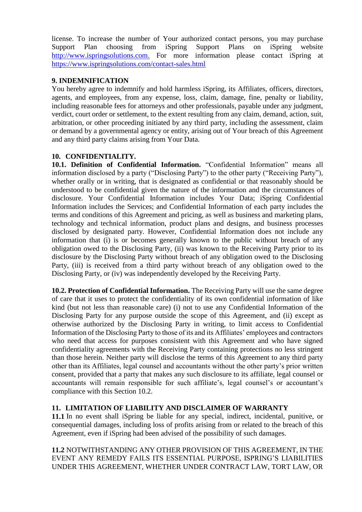license. To increase the number of Your authorized contact persons, you may purchase Support Plan choosing from iSpring Support Plans on iSpring website [http://www.ispringsolutions.com.](http://www.ispringsolutions.com/) For more information please contact iSpring at <https://www.ispringsolutions.com/contact-sales.html>

## **9. INDEMNIFICATION**

You hereby agree to indemnify and hold harmless iSpring, its Affiliates, officers, directors, agents, and employees, from any expense, loss, claim, damage, fine, penalty or liability, including reasonable fees for attorneys and other professionals, payable under any judgment, verdict, court order or settlement, to the extent resulting from any claim, demand, action, suit, arbitration, or other proceeding initiated by any third party, including the assessment, claim or demand by a governmental agency or entity, arising out of Your breach of this Agreement and any third party claims arising from Your Data.

## **10. CONFIDENTIALITY.**

**10.1. Definition of Confidential Information.** "Confidential Information" means all information disclosed by a party ("Disclosing Party") to the other party ("Receiving Party"), whether orally or in writing, that is designated as confidential or that reasonably should be understood to be confidential given the nature of the information and the circumstances of disclosure. Your Confidential Information includes Your Data; iSpring Confidential Information includes the Services; and Confidential Information of each party includes the terms and conditions of this Agreement and pricing, as well as business and marketing plans, technology and technical information, product plans and designs, and business processes disclosed by designated party. However, Confidential Information does not include any information that (i) is or becomes generally known to the public without breach of any obligation owed to the Disclosing Party, (ii) was known to the Receiving Party prior to its disclosure by the Disclosing Party without breach of any obligation owed to the Disclosing Party, (iii) is received from a third party without breach of any obligation owed to the Disclosing Party, or (iv) was independently developed by the Receiving Party.

**10.2. Protection of Confidential Information.** The Receiving Party will use the same degree of care that it uses to protect the confidentiality of its own confidential information of like kind (but not less than reasonable care) (i) not to use any Confidential Information of the Disclosing Party for any purpose outside the scope of this Agreement, and (ii) except as otherwise authorized by the Disclosing Party in writing, to limit access to Confidential Information of the Disclosing Party to those of its and its Affiliates' employees and contractors who need that access for purposes consistent with this Agreement and who have signed confidentiality agreements with the Receiving Party containing protections no less stringent than those herein. Neither party will disclose the terms of this Agreement to any third party other than its Affiliates, legal counsel and accountants without the other party's prior written consent, provided that a party that makes any such disclosure to its affiliate, legal counsel or accountants will remain responsible for such affiliate's, legal counsel's or accountant's compliance with this Section 10.2.

## **11. LIMITATION OF LIABILITY AND DISCLAIMER OF WARRANTY**

**11.1** In no event shall iSpring be liable for any special, indirect, incidental, punitive, or consequential damages, including loss of profits arising from or related to the breach of this Agreement, even if iSpring had been advised of the possibility of such damages.

**11.2** NOTWITHSTANDING ANY OTHER PROVISION OF THIS AGREEMENT, IN THE EVENT ANY REMEDY FAILS ITS ESSENTIAL PURPOSE, ISPRING'S LIABILITIES UNDER THIS AGREEMENT, WHETHER UNDER CONTRACT LAW, TORT LAW, OR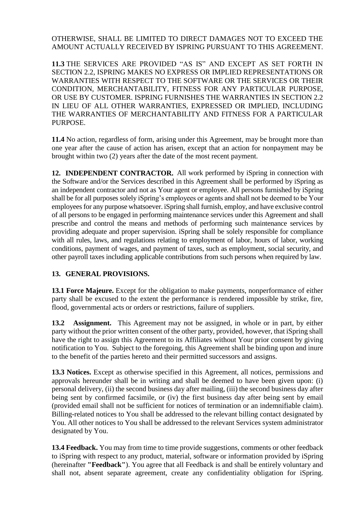## OTHERWISE, SHALL BE LIMITED TO DIRECT DAMAGES NOT TO EXCEED THE AMOUNT ACTUALLY RECEIVED BY ISPRING PURSUANT TO THIS AGREEMENT.

**11.3** THE SERVICES ARE PROVIDED "AS IS" AND EXCEPT AS SET FORTH IN SECTION 2.2, ISPRING MAKES NO EXPRESS OR IMPLIED REPRESENTATIONS OR WARRANTIES WITH RESPECT TO THE SOFTWARE OR THE SERVICES OR THEIR CONDITION, MERCHANTABILITY, FITNESS FOR ANY PARTICULAR PURPOSE, OR USE BY CUSTOMER. ISPRING FURNISHES THE WARRANTIES IN SECTION 2.2 IN LIEU OF ALL OTHER WARRANTIES, EXPRESSED OR IMPLIED, INCLUDING THE WARRANTIES OF MERCHANTABILITY AND FITNESS FOR A PARTICULAR PURPOSE.

**11.4** No action, regardless of form, arising under this Agreement, may be brought more than one year after the cause of action has arisen, except that an action for nonpayment may be brought within two (2) years after the date of the most recent payment.

**12. INDEPENDENT CONTRACTOR.** All work performed by iSpring in connection with the Software and/or the Services described in this Agreement shall be performed by iSpring as an independent contractor and not as Your agent or employee. All persons furnished by iSpring shall be for all purposes solely iSpring's employees or agents and shall not be deemed to be Your employees for any purpose whatsoever. iSpring shall furnish, employ, and have exclusive control of all persons to be engaged in performing maintenance services under this Agreement and shall prescribe and control the means and methods of performing such maintenance services by providing adequate and proper supervision. iSpring shall be solely responsible for compliance with all rules, laws, and regulations relating to employment of labor, hours of labor, working conditions, payment of wages, and payment of taxes, such as employment, social security, and other payroll taxes including applicable contributions from such persons when required by law.

## **13. GENERAL PROVISIONS.**

**13.1 Force Majeure.** Except for the obligation to make payments, nonperformance of either party shall be excused to the extent the performance is rendered impossible by strike, fire, flood, governmental acts or orders or restrictions, failure of suppliers.

**13.2 Assignment.** This Agreement may not be assigned, in whole or in part, by either party without the prior written consent of the other party, provided, however, that iSpring shall have the right to assign this Agreement to its Affiliates without Your prior consent by giving notification to You. Subject to the foregoing, this Agreement shall be binding upon and inure to the benefit of the parties hereto and their permitted successors and assigns.

**13.3 Notices.** Except as otherwise specified in this Agreement, all notices, permissions and approvals hereunder shall be in writing and shall be deemed to have been given upon: (i) personal delivery, (ii) the second business day after mailing, (iii) the second business day after being sent by confirmed facsimile, or (iv) the first business day after being sent by email (provided email shall not be sufficient for notices of termination or an indemnifiable claim). Billing-related notices to You shall be addressed to the relevant billing contact designated by You. All other notices to You shall be addressed to the relevant Services system administrator designated by You.

**13.4 Feedback.** You may from time to time provide suggestions, comments or other feedback to iSpring with respect to any product, material, software or information provided by iSpring (hereinafter **"Feedback"**). You agree that all Feedback is and shall be entirely voluntary and shall not, absent separate agreement, create any confidentiality obligation for iSpring.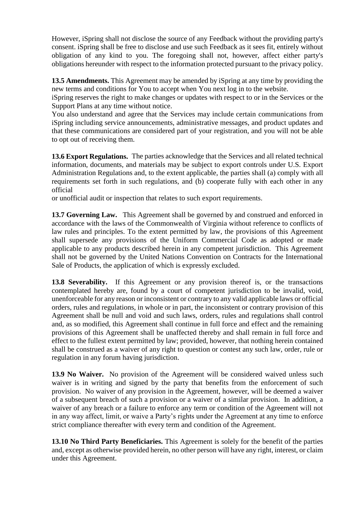However, iSpring shall not disclose the source of any Feedback without the providing party's consent. iSpring shall be free to disclose and use such Feedback as it sees fit, entirely without obligation of any kind to you. The foregoing shall not, however, affect either party's obligations hereunder with respect to the information protected pursuant to the privacy policy.

**13.5 Amendments.** This Agreement may be amended by iSpring at any time by providing the new terms and conditions for You to accept when You next log in to the website.

iSpring reserves the right to make changes or updates with respect to or in the Services or the Support Plans at any time without notice.

You also understand and agree that the Services may include certain communications from iSpring including service announcements, administrative messages, and product updates and that these communications are considered part of your registration, and you will not be able to opt out of receiving them.

**13.6 Export Regulations.** The parties acknowledge that the Services and all related technical information, documents, and materials may be subject to export controls under U.S. Export Administration Regulations and, to the extent applicable, the parties shall (a) comply with all requirements set forth in such regulations, and (b) cooperate fully with each other in any official

or unofficial audit or inspection that relates to such export requirements.

**13.7 Governing Law.** This Agreement shall be governed by and construed and enforced in accordance with the laws of the Commonwealth of Virginia without reference to conflicts of law rules and principles. To the extent permitted by law, the provisions of this Agreement shall supersede any provisions of the Uniform Commercial Code as adopted or made applicable to any products described herein in any competent jurisdiction. This Agreement shall not be governed by the United Nations Convention on Contracts for the International Sale of Products, the application of which is expressly excluded.

**13.8 Severability.** If this Agreement or any provision thereof is, or the transactions contemplated hereby are, found by a court of competent jurisdiction to be invalid, void, unenforceable for any reason or inconsistent or contrary to any valid applicable laws or official orders, rules and regulations, in whole or in part, the inconsistent or contrary provision of this Agreement shall be null and void and such laws, orders, rules and regulations shall control and, as so modified, this Agreement shall continue in full force and effect and the remaining provisions of this Agreement shall be unaffected thereby and shall remain in full force and effect to the fullest extent permitted by law; provided, however, that nothing herein contained shall be construed as a waiver of any right to question or contest any such law, order, rule or regulation in any forum having jurisdiction.

**13.9 No Waiver.** No provision of the Agreement will be considered waived unless such waiver is in writing and signed by the party that benefits from the enforcement of such provision. No waiver of any provision in the Agreement, however, will be deemed a waiver of a subsequent breach of such a provision or a waiver of a similar provision. In addition, a waiver of any breach or a failure to enforce any term or condition of the Agreement will not in any way affect, limit, or waive a Party's rights under the Agreement at any time to enforce strict compliance thereafter with every term and condition of the Agreement.

**13.10 No Third Party Beneficiaries.** This Agreement is solely for the benefit of the parties and, except as otherwise provided herein, no other person will have any right, interest, or claim under this Agreement.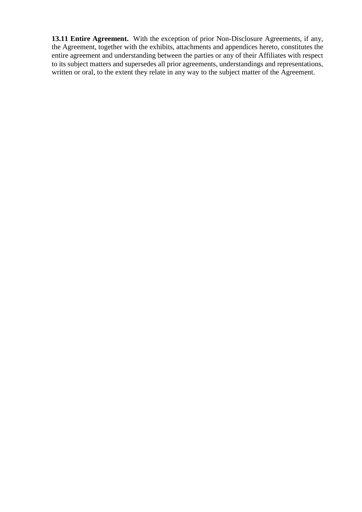13.11 Entire Agreement. With the exception of prior Non-Disclosure Agreements, if any, the Agreement, together with the exhibits, attachments and appendices hereto, constitutes the entire agreement and understanding between the parties or any of their Affiliates with respect to its subject matters and supersedes all prior agreements, understandings and representations, written or oral, to the extent they relate in any way to the subject matter of the Agreement.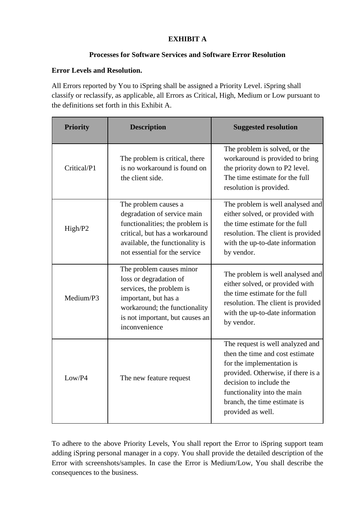# **EXHIBIT A**

# **Processes for Software Services and Software Error Resolution**

# **Error Levels and Resolution.**

All Errors reported by You to iSpring shall be assigned a Priority Level. iSpring shall classify or reclassify, as applicable, all Errors as Critical, High, Medium or Low pursuant to the definitions set forth in this Exhibit A.

| <b>Priority</b> | <b>Description</b>                                                                                                                                                                           | <b>Suggested resolution</b>                                                                                                                                                                                                                           |
|-----------------|----------------------------------------------------------------------------------------------------------------------------------------------------------------------------------------------|-------------------------------------------------------------------------------------------------------------------------------------------------------------------------------------------------------------------------------------------------------|
| Critical/P1     | The problem is critical, there<br>is no workaround is found on<br>the client side.                                                                                                           | The problem is solved, or the<br>workaround is provided to bring<br>the priority down to P2 level.<br>The time estimate for the full<br>resolution is provided.                                                                                       |
| High/P2         | The problem causes a<br>degradation of service main<br>functionalities; the problem is<br>critical, but has a workaround<br>available, the functionality is<br>not essential for the service | The problem is well analysed and<br>either solved, or provided with<br>the time estimate for the full<br>resolution. The client is provided<br>with the up-to-date information<br>by vendor.                                                          |
| Medium/P3       | The problem causes minor<br>loss or degradation of<br>services, the problem is<br>important, but has a<br>workaround; the functionality<br>is not important, but causes an<br>inconvenience  | The problem is well analysed and<br>either solved, or provided with<br>the time estimate for the full<br>resolution. The client is provided<br>with the up-to-date information<br>by vendor.                                                          |
| Low/P4          | The new feature request                                                                                                                                                                      | The request is well analyzed and<br>then the time and cost estimate<br>for the implementation is<br>provided. Otherwise, if there is a<br>decision to include the<br>functionality into the main<br>branch, the time estimate is<br>provided as well. |

To adhere to the above Priority Levels, You shall report the Error to iSpring support team adding iSpring personal manager in a copy. You shall provide the detailed description of the Error with screenshots/samples. In case the Error is Medium/Low, You shall describe the consequences to the business.